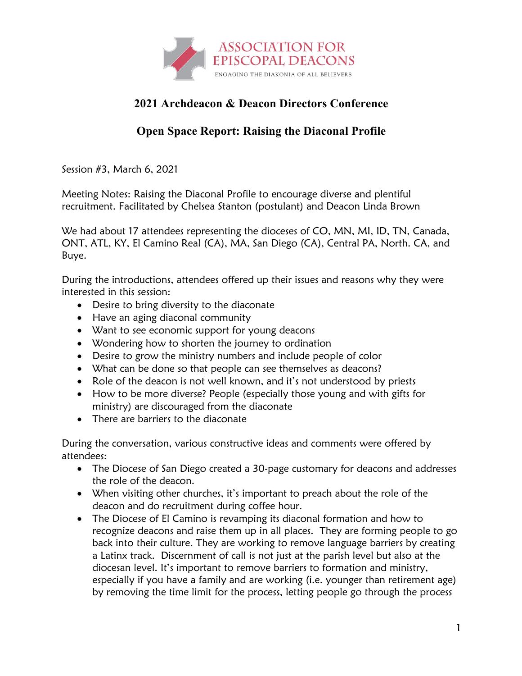

## **2021 Archdeacon & Deacon Directors Conference**

## **Open Space Report: Raising the Diaconal Profile**

Session #3, March 6, 2021

Meeting Notes: Raising the Diaconal Profile to encourage diverse and plentiful recruitment. Facilitated by Chelsea Stanton (postulant) and Deacon Linda Brown

We had about 17 attendees representing the dioceses of CO, MN, MI, ID, TN, Canada, ONT, ATL, KY, El Camino Real (CA), MA, San Diego (CA), Central PA, North. CA, and Buye.

During the introductions, attendees offered up their issues and reasons why they were interested in this session:

- Desire to bring diversity to the diaconate
- Have an aging diaconal community
- Want to see economic support for young deacons
- Wondering how to shorten the journey to ordination
- Desire to grow the ministry numbers and include people of color
- What can be done so that people can see themselves as deacons?
- Role of the deacon is not well known, and it's not understood by priests
- How to be more diverse? People (especially those young and with gifts for ministry) are discouraged from the diaconate
- There are barriers to the diaconate

During the conversation, various constructive ideas and comments were offered by attendees:

- The Diocese of San Diego created a 30-page customary for deacons and addresses the role of the deacon.
- When visiting other churches, it's important to preach about the role of the deacon and do recruitment during coffee hour.
- The Diocese of El Camino is revamping its diaconal formation and how to recognize deacons and raise them up in all places. They are forming people to go back into their culture. They are working to remove language barriers by creating a Latinx track. Discernment of call is not just at the parish level but also at the diocesan level. It's important to remove barriers to formation and ministry, especially if you have a family and are working (i.e. younger than retirement age) by removing the time limit for the process, letting people go through the process